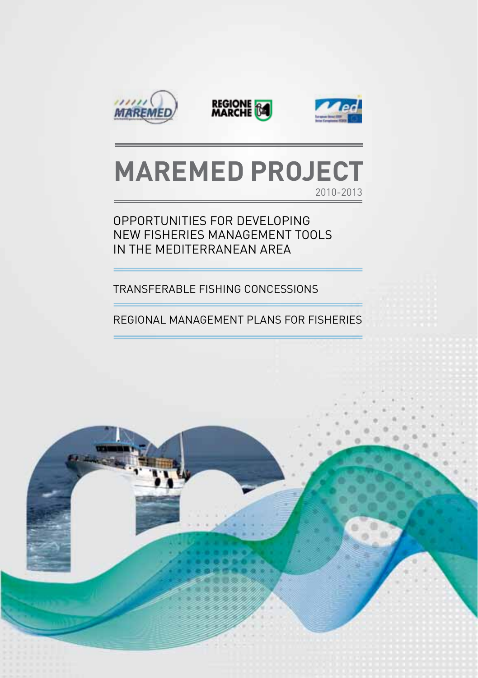





# **MAREMED PROJECT** 2010-2013

## Opportunities for developing new fisheries management tools in the Mediterranean area

Transferable Fishing Concessions

Regional Management Plans for Fisheries

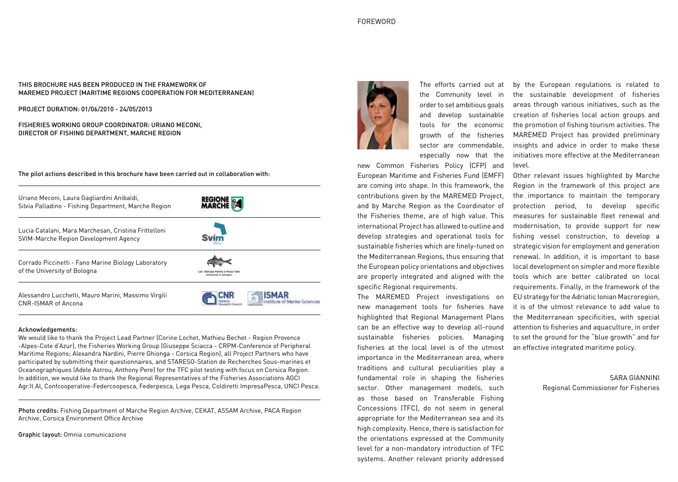### FOREWORD

### This brochure has been produced in the framework of MAREMED Project (MAritime REgions cooperation for MEDiterranean)

Project duration: 01/06/2010 - 24/05/2013

Fisheries Working Group Coordinator: Uriano Meconi, Director of Fishing Department, Marche Region

The pilot actions described in this brochure have been carried out in collaboration with:



#### Acknowledgements:

We would like to thank the Project Lead Partner (Corine Lochet, Mathieu Bechet - Region Provence -Alpes-Cote d'Azur), the Fisheries Working Group (Giuseppe Sciacca - CRPM-Conference of Peripheral Maritime Regions; Alexandra Nardini, Pierre Ghionga - Corsica Region), all Project Partners who have participated by submitting their questionnaires, and STARESO-Station de Recherches Sous-marines et Oceanographiques (Adele Astrou, Anthony Pere) for the TFC pilot testing with focus on Corsica Region. In addition, we would like to thank the Regional Representatives of the Fisheries Associations AGCI Agr.It.Al, Confcooperative-Federcoopesca, Federpesca, Lega Pesca, Coldiretti ImpresaPesca, UNCI Pesca.

Photo credits: Fishing Department of Marche Region Archive, CEKAT, ASSAM Archive, PACA Region Archive, Corsica Environment Office Archive

Graphic layout: Omnia comunicazione



The efforts carried out at the Community level in order to set ambitious goals and develop sustainable tools for the economic growth of the fisheries sector are commendable, especially now that the

new Common Fisheries Policy (CFP) and European Maritime and Fisheries Fund (EMFF) are coming into shape. In this framework, the contributions given by the MAREMED Project, and by Marche Region as the Coordinator of the Fisheries theme, are of high value. This international Project has allowed to outline and develop strategies and operational tools for sustainable fisheries which are finely-tuned on the Mediterranean Regions, thus ensuring that the European policy orientations and objectives are properly integrated and aligned with the specific Regional requirements.

The MAREMED Project investigations on new management tools for fisheries have highlighted that Regional Management Plans can be an effective way to develop all-round sustainable fisheries policies. Managing fisheries at the local level is of the utmost importance in the Mediterranean area, where traditions and cultural peculiarities play a fundamental role in shaping the fisheries sector. Other management models, such as those based on Transferable Fishing Concessions (TFC), do not seem in general appropriate for the Mediterranean sea and its high complexity. Hence, there is satisfaction for the orientations expressed at the Community level for a non-mandatory introduction of TFC systems. Another relevant priority addressed

by the European regulations is related to the sustainable development of fisheries areas through various initiatives, such as the creation of fisheries local action groups and the promotion of fishing tourism activities. The MAREMED Project has provided preliminary insights and advice in order to make these initiatives more effective at the Mediterranean level.

Other relevant issues highlighted by Marche Region in the framework of this project are the importance to maintain the temporary protection period, to develop specific measures for sustainable fleet renewal and modernisation, to provide support for new fishing vessel construction, to develop a strategic vision for employment and generation renewal. In addition, it is important to base local development on simpler and more flexible tools which are better calibrated on local requirements. Finally, in the framework of the EU strategy for the Adriatic Ionian Macroregion, it is of the utmost relevance to add value to the Mediterranean specificities, with special attention to fisheries and aquaculture, in order to set the ground for the "blue growth" and for an effective integrated maritime policy.

> Sara Giannini Regional Commissioner for Fisheries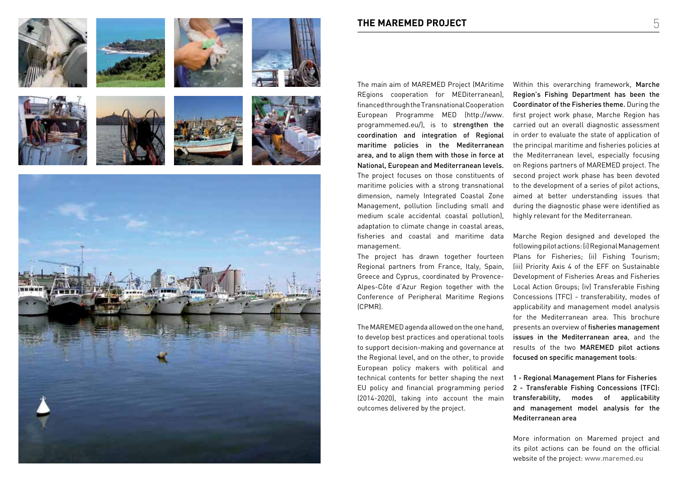















The main aim of MAREMED Project (MAritime REgions cooperation for MEDiterranean), financed through the Transnational Cooperation European Programme MED (http://www. programmemed.eu/), is to strengthen the coordination and integration of Regional maritime policies in the Mediterranean area, and to align them with those in force at National, European and Mediterranean levels. The project focuses on those constituents of maritime policies with a strong transnational dimension, namely Integrated Coastal Zone Management, pollution (including small and medium scale accidental coastal pollution), adaptation to climate change in coastal areas, fisheries and coastal and maritime data management.

The project has drawn together fourteen Regional partners from France, Italy, Spain, Greece and Cyprus, coordinated by Provence-Alpes-Côte d'Azur Region together with the Conference of Peripheral Maritime Regions (CPMR).

The MAREMED agenda allowed on the one hand, to develop best practices and operational tools to support decision-making and governance at the Regional level, and on the other, to provide European policy makers with political and technical contents for better shaping the next EU policy and financial programming period (2014-2020), taking into account the main outcomes delivered by the project.

Within this overarching framework, Marche Region's Fishing Department has been the Coordinator of the Fisheries theme. During the first project work phase, Marche Region has carried out an overall diagnostic assessment in order to evaluate the state of application of the principal maritime and fisheries policies at the Mediterranean level, especially focusing on Regions partners of MAREMED project. The second project work phase has been devoted to the development of a series of pilot actions, aimed at better understanding issues that during the diagnostic phase were identified as highly relevant for the Mediterranean.

Marche Region designed and developed the following pilot actions: (i) Regional Management Plans for Fisheries; (ii) Fishing Tourism; (iii) Priority Axis 4 of the EFF on Sustainable Development of Fisheries Areas and Fisheries Local Action Groups; (iv) Transferable Fishing Concessions (TFC) - transferability, modes of applicability and management model analysis for the Mediterranean area. This brochure presents an overview of fisheries management issues in the Mediterranean area, and the results of the two MAREMED pilot actions focused on specific management tools:

1 - Regional Management Plans for Fisheries 2 - Transferable Fishing Concessions (TFC): transferability, modes of applicability and management model analysis for the Mediterranean area

More information on Maremed project and its pilot actions can be found on the official website of the project: www.maremed.eu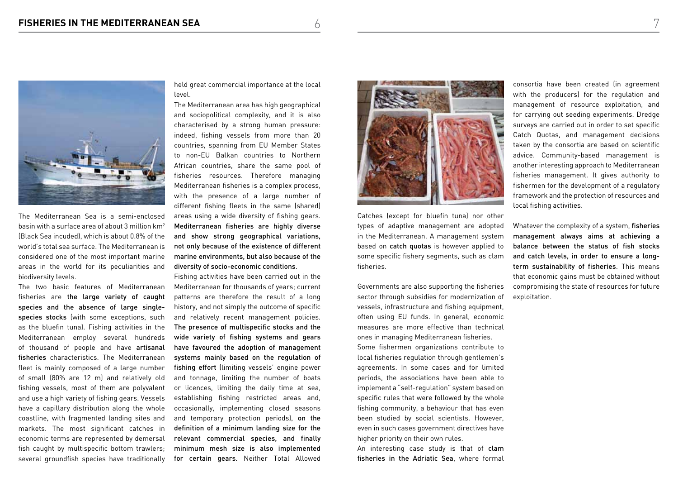

The Mediterranean Sea is a semi-enclosed basin with a surface area of about 3 million km2 (Black Sea incuded), which is about 0.8% of the world's total sea surface. The Mediterranean is considered one of the most important marine areas in the world for its peculiarities and biodiversity levels.

The two basic features of Mediterranean fisheries are the large variety of caught species and the absence of large singlespecies stocks (with some exceptions, such as the bluefin tuna). Fishing activities in the Mediterranean employ several hundreds of thousand of people and have artisanal fisheries characteristics. The Mediterranean fleet is mainly composed of a large number of small (80% are 12 m) and relatively old fishing vessels, most of them are polyvalent and use a high variety of fishing gears. Vessels have a capillary distribution along the whole coastline, with fragmented landing sites and markets. The most significant catches in economic terms are represented by demersal fish caught by multispecific bottom trawlers; several groundfish species have traditionally

held great commercial importance at the local level.

The Mediterranean area has high geographical and sociopolitical complexity, and it is also characterised by a strong human pressure: indeed, fishing vessels from more than 20 countries, spanning from EU Member States to non-EU Balkan countries to Northern African countries, share the same pool of fisheries resources. Therefore managing Mediterranean fisheries is a complex process, with the presence of a large number of different fishing fleets in the same (shared) areas using a wide diversity of fishing gears. Mediterranean fisheries are highly diverse and show strong geographical variations, not only because of the existence of different marine environments, but also because of the diversity of socio-economic conditions.

Fishing activities have been carried out in the Mediterranean for thousands of years; current patterns are therefore the result of a long history, and not simply the outcome of specific and relatively recent management policies. The presence of multispecific stocks and the wide variety of fishing systems and gears have favoured the adoption of management systems mainly based on the regulation of fishing effort (limiting vessels' engine power and tonnage, limiting the number of boats or licences, limiting the daily time at sea, establishing fishing restricted areas and, occasionally, implementing closed seasons and temporary protection periods), on the definition of a minimum landing size for the relevant commercial species, and finally minimum mesh size is also implemented for certain gears. Neither Total Allowed



Catches (except for bluefin tuna) nor other types of adaptive management are adopted in the Mediterranean. A management system based on catch quotas is however applied to some specific fishery segments, such as clam fisheries.

Governments are also supporting the fisheries sector through subsidies for modernization of vessels, infrastructure and fishing equipment, often using EU funds. In general, economic measures are more effective than technical ones in managing Mediterranean fisheries. Some fishermen organizations contribute to local fisheries regulation through gentlemen's agreements. In some cases and for limited periods, the associations have been able to implement a "self-regulation" system based on specific rules that were followed by the whole fishing community, a behaviour that has even been studied by social scientists. However, even in such cases government directives have higher priority on their own rules.

An interesting case study is that of clam fisheries in the Adriatic Sea, where formal

consortia have been created (in agreement with the producers) for the regulation and management of resource exploitation, and for carrying out seeding experiments. Dredge surveys are carried out in order to set specific Catch Quotas, and management decisions taken by the consortia are based on scientific advice. Community-based management is another interesting approach to Mediterranean fisheries management. It gives authority to fishermen for the development of a regulatory framework and the protection of resources and local fishing activities.

Whatever the complexity of a system, fisheries management always aims at achieving a balance between the status of fish stocks and catch levels, in order to ensure a longterm sustainability of fisheries. This means that economic gains must be obtained without compromising the state of resources for future exploitation.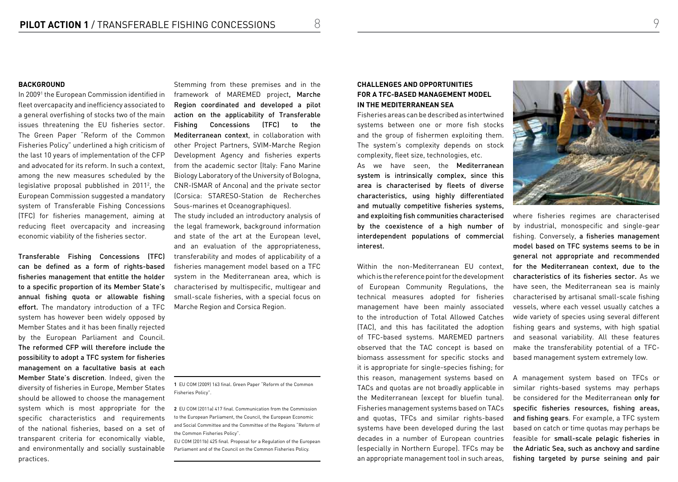### **BACKGROUND**

In 20091 the European Commission identified in fleet overcapacity and inefficiency associated to a general overfishing of stocks two of the main issues threatening the EU fisheries sector. The Green Paper "Reform of the Common Fisheries Policy" underlined a high criticism of the last 10 years of implementation of the CFP and advocated for its reform. In such a context, among the new measures scheduled by the legislative proposal pubblished in 2011<sup>2</sup>, the European Commission suggested a mandatory system of Transferable Fishing Concessions (TFC) for fisheries management, aiming at reducing fleet overcapacity and increasing economic viability of the fisheries sector.

Transferable Fishing Concessions (TFC) can be defined as a form of rights-based fisheries management that entitle the holder to a specific proportion of its Member State's annual fishing quota or allowable fishing effort. The mandatory introduction of a TFC system has however been widely opposed by Member States and it has been finally rejected by the European Parliament and Council. The reformed CFP will therefore include the possibility to adopt a TFC system for fisheries management on a facultative basis at each Member State's discretion. Indeed, given the diversity of fisheries in Europe, Member States should be allowed to choose the management system which is most appropriate for the specific characteristics and requirements of the national fisheries, based on a set of transparent criteria for economically viable, and environmentally and socially sustainable practices.

Stemming from these premises and in the framework of MAREMED project, Marche Region coordinated and developed a pilot action on the applicability of Transferable Fishing Concessions (TFC) to the Mediterranean context, in collaboration with other Project Partners, SVIM-Marche Region Development Agency and fisheries experts from the academic sector (Italy: Fano Marine Biology Laboratory of the University of Bologna, CNR-ISMAR of Ancona) and the private sector (Corsica: STARESO-Station de Recherches Sous-marines et Oceanographiques).

The study included an introductory analysis of the legal framework, background information and state of the art at the European level, and an evaluation of the appropriateness, transferability and modes of applicability of a fisheries management model based on a TFC system in the Mediterranean area, which is characterised by multispecific, multigear and small-scale fisheries, with a special focus on Marche Region and Corsica Region.

**1** EU COM (2009) 163 final. Green Paper "Reform of the Common Fisheries Policy".

**2** EU COM (2011a) 417 final. Communication from the Commission to the European Parliament, the Council, the European Economic and Social Committee and the Committee of the Regions "Reform of the Common Fisheries Policy".

EU COM (2011b) 425 final. Proposal for a Regulation of the European Parliament and of the Council on the Common Fisheries Policy.

## **CHALLENGES AND OPPORTUNITIES FOR A TFC-BASED MANAGEMENT MODEL IN THE MEDITERRANEAN SEA**

Fisheries areas can be described as intertwined systems between one or more fish stocks and the group of fishermen exploiting them. The system's complexity depends on stock complexity, fleet size, technologies, etc.

As we have seen, the Mediterranean system is intrinsically complex, since this area is characterised by fleets of diverse characteristics, using highly differentiated and mutually competitive fisheries systems, and exploiting fish communities characterised by the coexistence of a high number of interdependent populations of commercial interest.

Within the non-Mediterranean FU context, which is the reference point for the development of European Community Regulations, the technical measures adopted for fisheries management have been mainly associated to the introduction of Total Allowed Catches (TAC), and this has facilitated the adoption of TFC-based systems. MAREMED partners observed that the TAC concept is based on biomass assessment for specific stocks and it is appropriate for single-species fishing; for this reason, management systems based on TACs and quotas are not broadly applicable in the Mediterranean (except for bluefin tuna). Fisheries management systems based on TACs and quotas, TFCs and similar rights-based systems have been developed during the last decades in a number of European countries (especially in Northern Europe). TFCs may be an appropriate management tool in such areas,



where fisheries regimes are characterised by industrial, monospecific and single-gear fishing. Conversely, a fisheries management model based on TFC systems seems to be in general not appropriate and recommended for the Mediterranean context, due to the characteristics of its fisheries sector. As we have seen, the Mediterranean sea is mainly characterised by artisanal small-scale fishing vessels, where each vessel usually catches a wide variety of species using several different fishing gears and systems, with high spatial and seasonal variability. All these features make the transferability potential of a TFCbased management system extremely low.

A management system based on TFCs or similar rights-based systems may perhaps be considered for the Mediterranean only for specific fisheries resources, fishing areas, and fishing gears. For example, a TFC system based on catch or time quotas may perhaps be feasible for small-scale pelagic fisheries in the Adriatic Sea, such as anchovy and sardine fishing targeted by purse seining and pair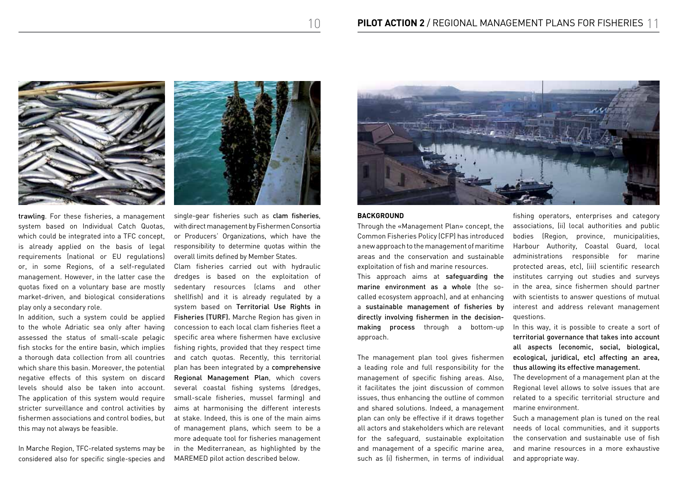

trawling. For these fisheries, a management system based on Individual Catch Quotas, which could be integrated into a TFC concept, is already applied on the basis of legal requirements (national or EU regulations) or, in some Regions, of a self-regulated management. However, in the latter case the quotas fixed on a voluntary base are mostly market-driven, and biological considerations play only a secondary role.

In addition, such a system could be applied to the whole Adriatic sea only after having assessed the status of small-scale pelagic fish stocks for the entire basin, which implies a thorough data collection from all countries which share this basin. Moreover, the potential negative effects of this system on discard levels should also be taken into account. The application of this system would require stricter surveillance and control activities by fishermen associations and control bodies, but this may not always be feasible.

In Marche Region, TFC-related systems may be considered also for specific single-species and single-gear fisheries such as clam fisheries, with direct management by Fishermen Consortia or Producers' Organizations, which have the responsibility to determine quotas within the overall limits defined by Member States.

Clam fisheries carried out with hydraulic dredges is based on the exploitation of sedentary resources (clams and other shellfish) and it is already regulated by a system based on Territorial Use Rights in Fisheries (TURF). Marche Region has given in concession to each local clam fisheries fleet a specific area where fishermen have exclusive fishing rights, provided that they respect time and catch quotas. Recently, this territorial plan has been integrated by a comprehensive Regional Management Plan, which covers several coastal fishing systems (dredges, small-scale fisheries, mussel farming) and aims at harmonising the different interests at stake. Indeed, this is one of the main aims of management plans, which seem to be a more adequate tool for fisheries management in the Mediterranean, as highlighted by the MAREMED pilot action described below.



### **BACKGROUND**

Through the «Management Plan» concept, the Common Fisheries Policy (CFP) has introduced a new approach to the management of maritime areas and the conservation and sustainable exploitation of fish and marine resources. This approach aims at safeguarding the marine environment as a whole (the socalled ecosystem approach), and at enhancing a sustainable management of fisheries by directly involving fishermen in the decisionmaking process through a bottom-up approach.

The management plan tool gives fishermen a leading role and full responsibility for the management of specific fishing areas. Also, it facilitates the joint discussion of common issues, thus enhancing the outline of common and shared solutions. Indeed, a management plan can only be effective if it draws together all actors and stakeholders which are relevant for the safeguard, sustainable exploitation and management of a specific marine area, such as (i) fishermen, in terms of individual

fishing operators, enterprises and category associations, (ii) local authorities and public bodies (Region, province, municipalities, Harbour Authority, Coastal Guard, local administrations responsible for marine protected areas, etc), (iii) scientific research institutes carrying out studies and surveys in the area, since fishermen should partner with scientists to answer questions of mutual interest and address relevant management questions.

In this way, it is possible to create a sort of territorial governance that takes into account all aspects (economic, social, biological, ecological, juridical, etc) affecting an area, thus allowing its effective management.

The development of a management plan at the Regional level allows to solve issues that are related to a specific territorial structure and marine environment.

Such a management plan is tuned on the real needs of local communities, and it supports the conservation and sustainable use of fish and marine resources in a more exhaustive and appropriate way.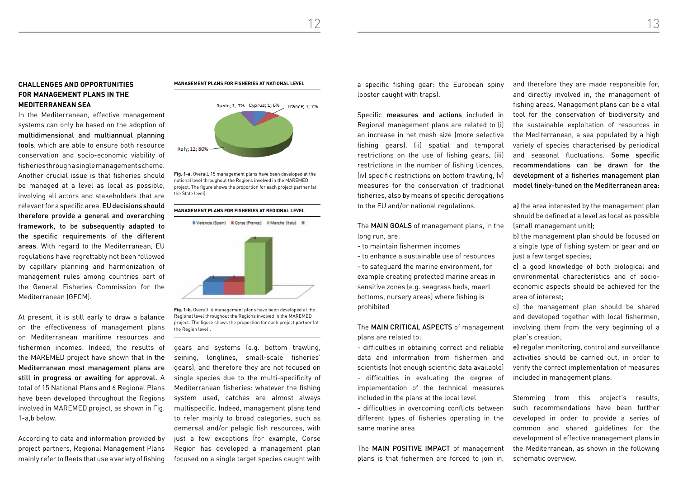12 13

## **CHALLENGES AND OPPORTUNITIES FOR MANAGEMENT PLANS IN THE MEDITERRANEAN SEA**

In the Mediterranean, effective management systems can only be based on the adoption of multidimensional and multiannual planning tools, which are able to ensure both resource conservation and socio-economic viability of fisheries through a single management scheme. Another crucial issue is that fisheries should be managed at a level as local as possible, involving all actors and stakeholders that are relevant for a specific area. EU decisions should therefore provide a general and overarching framework, to be subsequently adapted to the specific requirements of the different areas. With regard to the Mediterranean, EU regulations have regrettably not been followed by capillary planning and harmonization of management rules among countries part of the General Fisheries Commission for the Mediterranean (GFCM).

At present, it is still early to draw a balance on the effectiveness of management plans on Mediterranean maritime resources and fishermen incomes. Indeed, the results of the MAREMED project have shown that in the Mediterranean most management plans are still in progress or awaiting for approval. A total of 15 National Plans and 6 Regional Plans have been developed throughout the Regions involved in MAREMED project, as shown in Fig. 1-a,b below.

According to data and information provided by project partners, Regional Management Plans mainly refer to fleets that use a variety of fishing

#### **Management plans for fisheries at national level**



**Fig. 1-a.** Overall, 15 management plans have been developed at the national level throughout the Regions involved in the MAREMED project. The figure shows the proportion for each project partner (at the State level).

#### **Management plans for fisheries at regional level**





**Fig. 1-b.** Overall, 6 management plans have been developed at the Regional level throughout the Regions involved in the MAREMED project. The figure shows the proportion for each project partner (at the Region level).

gears and systems (e.g. bottom trawling, seining, longlines, small-scale fisheries' gears), and therefore they are not focused on single species due to the multi-specificity of Mediterranean fisheries: whatever the fishing system used, catches are almost always multispecific. Indeed, management plans tend to refer mainly to broad categories, such as demersal and/or pelagic fish resources, with just a few exceptions (for example, Corse Region has developed a management plan focused on a single target species caught with

a specific fishing gear: the European spiny lobster caught with traps).

Specific measures and actions included in Regional management plans are related to (i) an increase in net mesh size (more selective fishing gears), (ii) spatial and temporal restrictions on the use of fishing gears, (iii) restrictions in the number of fishing licences, (iv) specific restrictions on bottom trawling, (v) measures for the conservation of traditional fisheries, also by means of specific derogations to the EU and/or national regulations.

The MAIN GOALS of management plans, in the long run, are:

- to maintain fishermen incomes
- to enhance a sustainable use of resources

- to safeguard the marine environment, for example creating protected marine areas in sensitive zones (e.g. seagrass beds, maerl bottoms, nursery areas) where fishing is prohibited

The MAIN CRITICAL ASPECTS of management plans are related to:

- difficulties in obtaining correct and reliable data and information from fishermen and scientists (not enough scientific data available) - difficulties in evaluating the degree of implementation of the technical measures included in the plans at the local level

- difficulties in overcoming conflicts between different types of fisheries operating in the same marine area

The MAIN POSITIVE IMPACT of management plans is that fishermen are forced to join in, and therefore they are made responsible for, and directly involved in, the management of fishing areas. Management plans can be a vital tool for the conservation of biodiversity and the sustainable exploitation of resources in the Mediterranean, a sea populated by a high variety of species characterised by periodical and seasonal fluctuations. Some specific recommendations can be drawn for the development of a fisheries management plan model finely-tuned on the Mediterranean area:

a) the area interested by the management plan should be defined at a level as local as possible (small management unit);

b) the management plan should be focused on a single type of fishing system or gear and on just a few target species;

c) a good knowledge of both biological and environmental characteristics and of socioeconomic aspects should be achieved for the area of interest;

d) the management plan should be shared and developed together with local fishermen, involving them from the very beginning of a plan's creation;

e) regular monitoring, control and surveillance activities should be carried out, in order to verify the correct implementation of measures included in management plans.

Stemming from this project's results, such recommendations have been further developed in order to provide a series of common and shared guidelines for the development of effective management plans in the Mediterranean, as shown in the following schematic overview.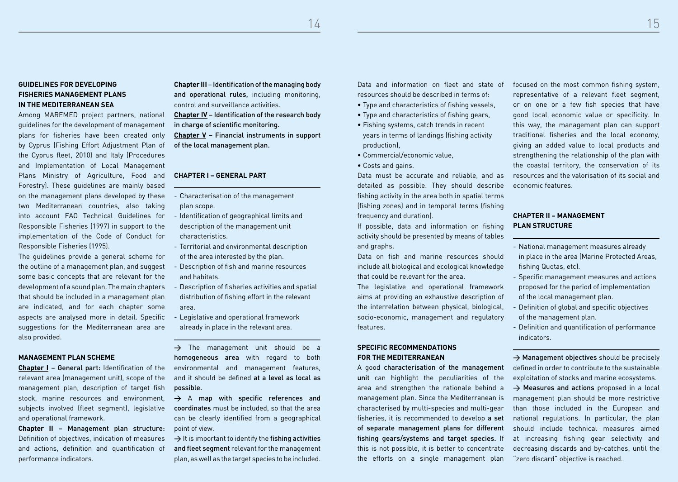$14$  15

## **GUIDELINES FOR DEVELOPING FISHERIES MANAGEMENT PLANS IN THE MEDITERRANEAN SEA**

Among MAREMED project partners, national guidelines for the development of management plans for fisheries have been created only by Cyprus (Fishing Effort Adjustment Plan of the Cyprus fleet, 2010) and Italy (Procedures and Implementation of Local Management Plans Ministry of Agriculture, Food and Forestry). These guidelines are mainly based on the management plans developed by these two Mediterranean countries, also taking into account FAO Technical Guidelines for Responsible Fisheries (1997) in support to the implementation of the Code of Conduct for Responsible Fisheries (1995).

The guidelines provide a general scheme for the outline of a management plan, and suggest some basic concepts that are relevant for the development of a sound plan. The main chapters that should be included in a management plan are indicated, and for each chapter some aspects are analysed more in detail. Specific suggestions for the Mediterranean area are also provided.

### **MANAGEMENT PLAN SCHEME**

**Chapter I** – General part: Identification of the relevant area (management unit), scope of the management plan, description of target fish stock, marine resources and environment, subjects involved (fleet segment), legislative and operational framework.

**Chapter II** – Management plan structure: Definition of objectives, indication of measures and actions, definition and quantification of performance indicators.

**Chapter III** – Identification of the managing body and operational rules, including monitoring, control and surveillance activities.

**Chapter IV** – Identification of the research body in charge of scientific monitoring.

**Chapter V** – Financial instruments in support of the local management plan.

### **CHAPTER I – GENERAL PART**

- Characterisation of the management plan scope.
- Identification of geographical limits and description of the management unit characteristics.
- Territorial and environmental description of the area interested by the plan.
- Description of fish and marine resources and habitats.
- Description of fisheries activities and spatial distribution of fishing effort in the relevant area.
- Legislative and operational framework already in place in the relevant area.

 $\rightarrow$  The management unit should be a homogeneous area with regard to both environmental and management features, and it should be defined at a level as local as possible.

 $\rightarrow$  A map with specific references and coordinates must be included, so that the area can be clearly identified from a geographical point of view.

 $\rightarrow$  It is important to identify the fishing activities and fleet segment relevant for the management plan, as well as the target species to be included.

Data and information on fleet and state of resources should be described in terms of:

- Type and characteristics of fishing vessels,
- Type and characteristics of fishing gears,
- Fishing systems, catch trends in recent years in terms of landings (fishing activity production),
- Commercial/economic value,
- Costs and gains.

Data must be accurate and reliable, and as detailed as possible. They should describe fishing activity in the area both in spatial terms (fishing zones) and in temporal terms (fishing frequency and duration).

If possible, data and information on fishing activity should be presented by means of tables and graphs.

Data on fish and marine resources should include all biological and ecological knowledge that could be relevant for the area.

The legislative and operational framework aims at providing an exhaustive description of the interrelation between physical, biological, socio-economic, management and regulatory features.

### **SPECIFIC RECOMMENDATIONS FOR THE MEDITERRANEAN**

A good characterisation of the management unit can highlight the peculiarities of the area and strengthen the rationale behind a management plan. Since the Mediterranean is characterised by multi-species and multi-gear fisheries, it is recommended to develop a set of separate management plans for different fishing gears/systems and target species. If this is not possible, it is better to concentrate the efforts on a single management plan

focused on the most common fishing system, representative of a relevant fleet segment, or on one or a few fish species that have good local economic value or specificity. In this way, the management plan can support traditional fisheries and the local economy, giving an added value to local products and strengthening the relationship of the plan with the coastal territory, the conservation of its resources and the valorisation of its social and economic features.

## **CHAPTER II – MANAGEMENT PLAN STRUCTURE**

- National management measures already in place in the area (Marine Protected Areas, fishing Quotas, etc).
- Specific management measures and actions proposed for the period of implementation of the local management plan.
- Definition of global and specific objectives of the management plan.
- Definition and quantification of performance indicators.

 $\rightarrow$  Management objectives should be precisely defined in order to contribute to the sustainable exploitation of stocks and marine ecosystems.  $\rightarrow$  Measures and actions proposed in a local management plan should be more restrictive than those included in the European and national regulations. In particular, the plan should include technical measures aimed at increasing fishing gear selectivity and decreasing discards and by-catches, until the "zero discard" objective is reached.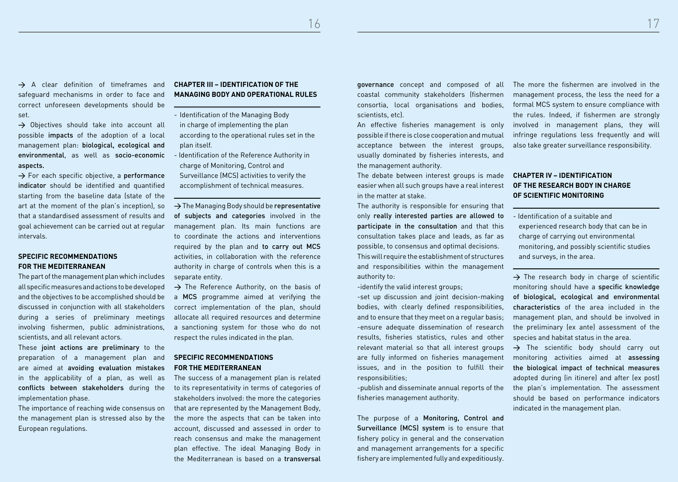$16$  and  $17$ 

 $\rightarrow$  A clear definition of timeframes and safeguard mechanisms in order to face and correct unforeseen developments should be set.

 $\rightarrow$  Objectives should take into account all possible impacts of the adoption of a local management plan: biological, ecological and environmental, as well as socio-economic aspects.

 $\rightarrow$  For each specific objective, a performance indicator should be identified and quantified starting from the baseline data (state of the art at the moment of the plan's inception), so that a standardised assessment of results and goal achievement can be carried out at regular intervals.

### **SPECIFIC RECOMMENDATIONS FOR THE MEDITERRANEAN**

The part of the management plan which includes all specific measures and actions to be developed and the objectives to be accomplished should be discussed in conjunction with all stakeholders during a series of preliminary meetings involving fishermen, public administrations, scientists, and all relevant actors.

These joint actions are preliminary to the preparation of a management plan and are aimed at avoiding evaluation mistakes in the applicability of a plan, as well as conflicts between stakeholders during the implementation phase.

The importance of reaching wide consensus on the management plan is stressed also by the European regulations.

## **CHAPTER III – IDENTIFICATION OF THE MANAGING BODY AND OPERATIONAL RULES**

- Identification of the Managing Body in charge of implementing the plan according to the operational rules set in the plan itself.
- Identification of the Reference Authority in charge of Monitoring, Control and Surveillance (MCS) activities to verify the accomplishment of technical measures.

 $\rightarrow$  The Managing Body should be representative of subjects and categories involved in the management plan. Its main functions are to coordinate the actions and interventions required by the plan and to carry out MCS activities, in collaboration with the reference authority in charge of controls when this is a separate entity.

 $\rightarrow$  The Reference Authority, on the basis of a MCS programme aimed at verifying the correct implementation of the plan, should allocate all required resources and determine a sanctioning system for those who do not respect the rules indicated in the plan.

## **SPECIFIC RECOMMENDATIONS FOR THE MEDITERRANEAN**

The success of a management plan is related to its representativity in terms of categories of stakeholders involved: the more the categories that are represented by the Management Body, the more the aspects that can be taken into account, discussed and assessed in order to reach consensus and make the management plan effective. The ideal Managing Body in the Mediterranean is based on a transversal

governance concept and composed of all coastal community stakeholders (fishermen consortia, local organisations and bodies, scientists, etc).

An effective fisheries management is only possible if there is close cooperation and mutual acceptance between the interest groups, usually dominated by fisheries interests, and the management authority.

The debate between interest groups is made easier when all such groups have a real interest in the matter at stake.

The authority is responsible for ensuring that only really interested parties are allowed to participate in the consultation and that this consultation takes place and leads, as far as possible, to consensus and optimal decisions. This will require the establishment of structures and responsibilities within the management authority to:

-identify the valid interest groups;

-set up discussion and joint decision-making bodies, with clearly defined responsibilities, and to ensure that they meet on a regular basis; -ensure adequate dissemination of research results, fisheries statistics, rules and other relevant material so that all interest groups are fully informed on fisheries management issues, and in the position to fulfill their responsibilities;

-publish and disseminate annual reports of the fisheries management authority.

The purpose of a Monitoring, Control and Surveillance (MCS) system is to ensure that fishery policy in general and the conservation and management arrangements for a specific fishery are implemented fully and expeditiously.

The more the fishermen are involved in the management process, the less the need for a formal MCS system to ensure compliance with the rules. Indeed, if fishermen are strongly involved in management plans, they will infringe regulations less frequently and will also take greater surveillance responsibility.

## **CHAPTER IV – IDENTIFICATION OF THE RESEARCH BODY IN CHARGE OF SCIENTIFIC MONITORING**

- Identification of a suitable and experienced research body that can be in charge of carrying out environmental monitoring, and possibly scientific studies and surveys, in the area.

 $\rightarrow$  The research body in charge of scientific monitoring should have a specific knowledge of biological, ecological and environmental characteristics of the area included in the management plan, and should be involved in the preliminary (ex ante) assessment of the species and habitat status in the area.

 $\rightarrow$  The scientific body should carry out monitoring activities aimed at assessing the biological impact of technical measures adopted during (in itinere) and after (ex post) the plan's implementation. The assessment should be based on performance indicators indicated in the management plan.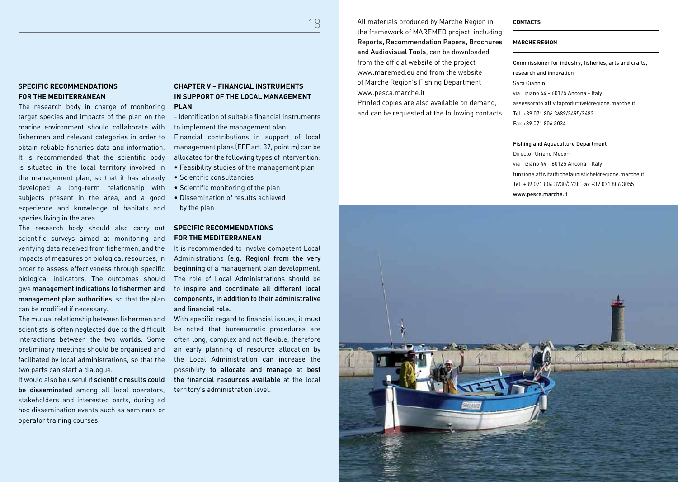18 All materials produced by Marche Region in the framework of MAREMED project, including Reports, Recommendation Papers, Brochures and Audiovisual Tools, can be downloaded from the official website of the project www.maremed.eu and from the website of Marche Region's Fishing Department www.pesca.marche.it

> Printed copies are also available on demand, and can be requested at the following contacts.

## **CONTACTS**

#### **MARCHE REGION**

Commissioner for industry, fisheries, arts and crafts, research and innovation Sara Giannini via Tiziano 44 - 60125 Ancona - Italy assessorato.attivitaproduttive@regione.marche.it Tel. +39 071 806 3689/3495/3482 Fax +39 071 806 3034

Fishing and Aquaculture Department

Director Uriano Meconi via Tiziano 44 - 60125 Ancona - Italy funzione.attivitaittichefaunistiche@regione.marche.it Tel. +39 071 806 3730/3738 Fax +39 071 806 3055 www.pesca.marche.it



### **SPECIFIC RECOMMENDATIONS FOR THE MEDITERRANEAN**

The research body in charge of monitoring target species and impacts of the plan on the marine environment should collaborate with fishermen and relevant categories in order to obtain reliable fisheries data and information. It is recommended that the scientific body is situated in the local territory involved in the management plan, so that it has already developed a long-term relationship with subjects present in the area, and a good experience and knowledge of habitats and species living in the area.

The research body should also carry out scientific surveys aimed at monitoring and verifying data received from fishermen, and the impacts of measures on biological resources, in order to assess effectiveness through specific biological indicators. The outcomes should give management indications to fishermen and management plan authorities, so that the plan can be modified if necessary.

The mutual relationship between fishermen and scientists is often neglected due to the difficult interactions between the two worlds. Some preliminary meetings should be organised and facilitated by local administrations, so that the two parts can start a dialogue.

It would also be useful if scientific results could be disseminated among all local operators, stakeholders and interested parts, during ad hoc dissemination events such as seminars or operator training courses.

### **CHAPTER V – FINANCIAL INSTRUMENTS IN SUPPORT OF THE LOCAL MANAGEMENT PLAN**

- Identification of suitable financial instruments to implement the management plan.

Financial contributions in support of local management plans (EFF art. 37, point m) can be allocated for the following types of intervention:

- Feasibility studies of the management plan
- Scientific consultancies
- Scientific monitoring of the plan
- Dissemination of results achieved
- by the plan

## **SPECIFIC RECOMMENDATIONS FOR THE MEDITERRANEAN**

It is recommended to involve competent Local Administrations (e.g. Region) from the very beginning of a management plan development. The role of Local Administrations should be to inspire and coordinate all different local components, in addition to their administrative and financial role.

With specific regard to financial issues, it must be noted that bureaucratic procedures are often long, complex and not flexible, therefore an early planning of resource allocation by the Local Administration can increase the possibility to allocate and manage at best the financial resources available at the local territory's administration level.